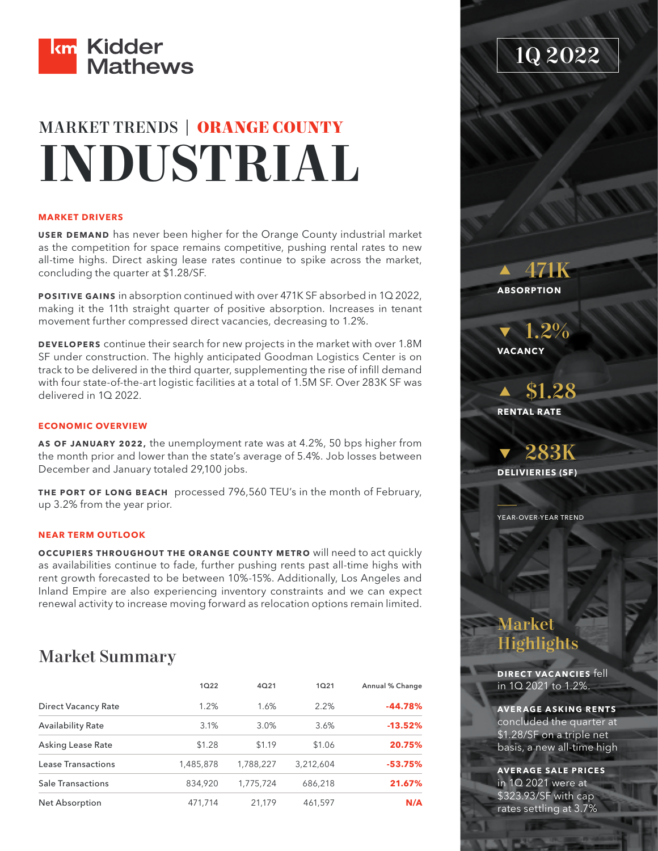

# MARKET TRENDS | **ORANGE COUNTY INDUSTRIAL**

### **MARKET DRIVERS**

**USER DEMAND** has never been higher for the Orange County industrial market as the competition for space remains competitive, pushing rental rates to new all-time highs. Direct asking lease rates continue to spike across the market, concluding the quarter at \$1.28/SF.

**POSITIVE GAINS** in absorption continued with over 471K SF absorbed in 1Q 2022, making it the 11th straight quarter of positive absorption. Increases in tenant movement further compressed direct vacancies, decreasing to 1.2%.

**DEVELOPERS** continue their search for new projects in the market with over 1.8M SF under construction. The highly anticipated Goodman Logistics Center is on track to be delivered in the third quarter, supplementing the rise of infill demand with four state-of-the-art logistic facilities at a total of 1.5M SF. Over 283K SF was delivered in 1Q 2022.

## **ECONOMIC OVERVIEW**

**AS OF JANUARY 2022,** the unemployment rate was at 4.2%, 50 bps higher from the month prior and lower than the state's average of 5.4%. Job losses between December and January totaled 29,100 jobs.

**THE PORT OF LONG BEACH** processed 796,560 TEU's in the month of February, up 3.2% from the year prior.

## **NEAR TERM OUTLOOK**

**OCCUPIERS THROUGHOUT THE ORANGE COUNTY METRO** will need to act quickly as availabilities continue to fade, further pushing rents past all-time highs with rent growth forecasted to be between 10%-15%. Additionally, Los Angeles and Inland Empire are also experiencing inventory constraints and we can expect renewal activity to increase moving forward as relocation options remain limited.

## Market Summary

|                            | 1022      | 4Q21      | 1021      | Annual % Change |
|----------------------------|-----------|-----------|-----------|-----------------|
| <b>Direct Vacancy Rate</b> | 1.2%      | 1.6%      | 2.2%      | $-44.78%$       |
| <b>Availability Rate</b>   | 3.1%      | 3.0%      | 3.6%      | $-13.52%$       |
| Asking Lease Rate          | \$1.28    | \$1.19    | \$1.06    | 20.75%          |
| Lease Transactions         | 1,485,878 | 1,788,227 | 3.212.604 | $-53.75%$       |
| <b>Sale Transactions</b>   | 834,920   | 1.775.724 | 686,218   | 21.67%          |
| Net Absorption             | 471.714   | 21,179    | 461,597   | N/A             |

1Q 2022

 471K **ABSORPTION**

 1.2% **VACANCY**

 \$1.28 **RENTAL RATE**

 283K **DELIVIERIES (SF)**

YEAR-OVER-YEAR TREND

## Market Highlights

**DIRECT VACANCIES** fell in 1Q 2021 to 1.2%.

**AVERAGE ASKING RENTS** concluded the quarter at \$1.28/SF on a triple net basis, a new all-time high

**AVERAGE SALE PRICES** in 1Q 2021 were at \$323.93/SF with cap rates settling at 3.7%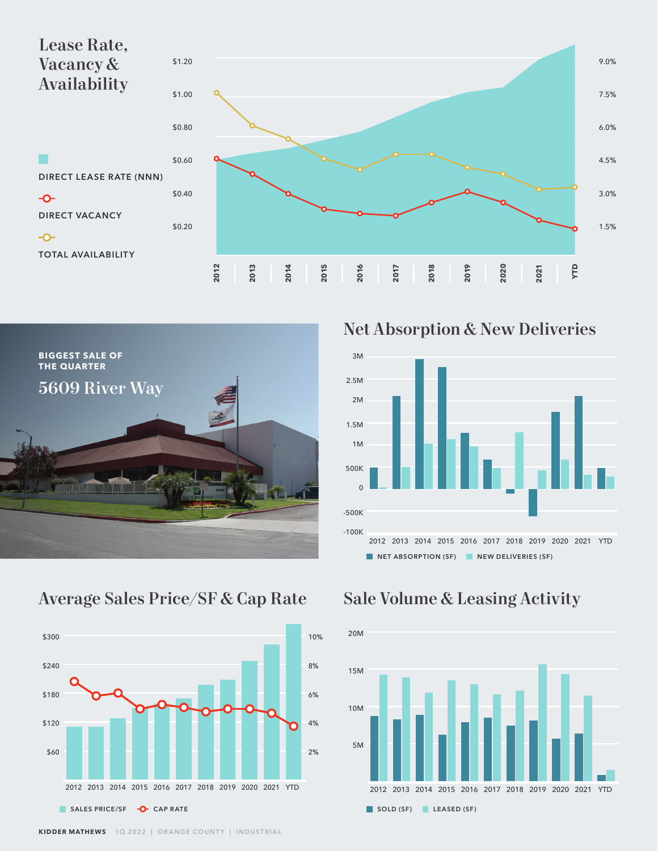



Net Absorption & New Deliveries



## Average Sales Price/SF & Cap Rate Sale Volume & Leasing Activity



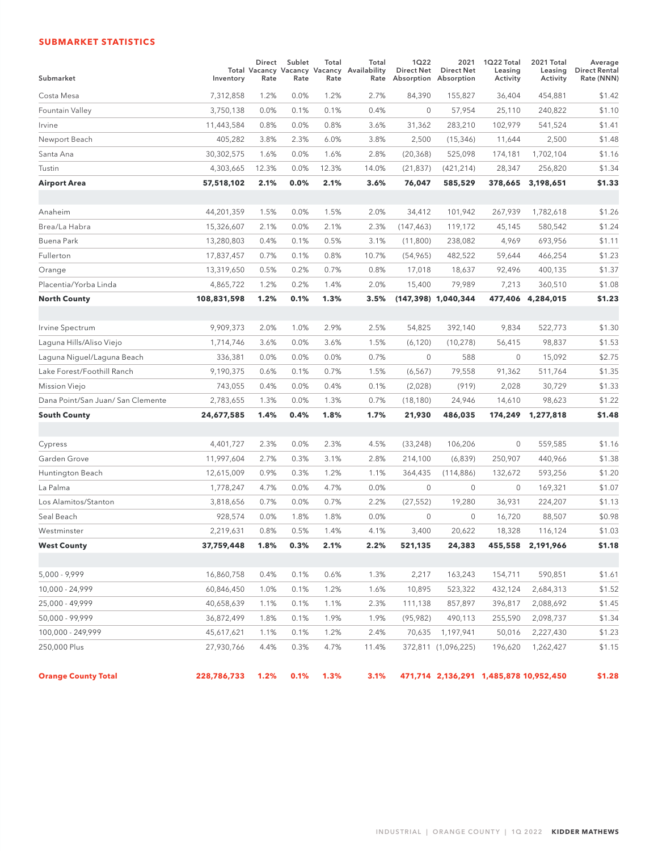## **SUBMARKET STATISTICS**

| Submarket                         | Inventory   | Direct<br>Rate | Sublet<br>Rate | Total<br>Rate | Total<br>Total Vacancy Vacancy Vacancy Availability<br>Rate | 1Q22<br>Direct Net | 2021<br><b>Direct Net</b><br>Absorption Absorption | 1Q22 Total<br>Leasing<br>Activity      | 2021 Total<br>Leasing<br>Activity | Average<br><b>Direct Rental</b><br>Rate (NNN) |
|-----------------------------------|-------------|----------------|----------------|---------------|-------------------------------------------------------------|--------------------|----------------------------------------------------|----------------------------------------|-----------------------------------|-----------------------------------------------|
| Costa Mesa                        | 7,312,858   | 1.2%           | 0.0%           | 1.2%          | 2.7%                                                        | 84,390             | 155,827                                            | 36,404                                 | 454,881                           | \$1.42                                        |
| Fountain Valley                   | 3,750,138   | 0.0%           | 0.1%           | 0.1%          | 0.4%                                                        | $\mathbf 0$        | 57,954                                             | 25,110                                 | 240,822                           | \$1.10                                        |
| Irvine                            | 11,443,584  | 0.8%           | 0.0%           | 0.8%          | 3.6%                                                        | 31,362             | 283,210                                            | 102,979                                | 541,524                           | \$1.41                                        |
| Newport Beach                     | 405,282     | 3.8%           | 2.3%           | 6.0%          | 3.8%                                                        | 2,500              | (15, 346)                                          | 11,644                                 | 2,500                             | \$1.48                                        |
| Santa Ana                         | 30,302,575  | 1.6%           | 0.0%           | 1.6%          | 2.8%                                                        | (20, 368)          | 525,098                                            | 174,181                                | 1,702,104                         | \$1.16                                        |
| Tustin                            | 4,303,665   | 12.3%          | 0.0%           | 12.3%         | 14.0%                                                       | (21, 837)          | (421, 214)                                         | 28,347                                 | 256,820                           | \$1.34                                        |
| Airport Area                      | 57,518,102  | 2.1%           | 0.0%           | 2.1%          | 3.6%                                                        | 76,047             | 585,529                                            | 378,665                                | 3,198,651                         | \$1.33                                        |
|                                   |             |                |                |               |                                                             |                    |                                                    |                                        |                                   |                                               |
| Anaheim                           | 44,201,359  | 1.5%           | 0.0%           | 1.5%          | 2.0%                                                        | 34,412             | 101,942                                            | 267,939                                | 1,782,618                         | \$1.26                                        |
| Brea/La Habra                     | 15,326,607  | 2.1%           | 0.0%           | 2.1%          | 2.3%                                                        | (147, 463)         | 119,172                                            | 45,145                                 | 580,542                           | \$1.24                                        |
| Buena Park                        | 13,280,803  | 0.4%           | 0.1%           | 0.5%          | 3.1%                                                        | (11,800)           | 238,082                                            | 4,969                                  | 693,956                           | \$1.11                                        |
| Fullerton                         | 17,837,457  | 0.7%           | 0.1%           | 0.8%          | 10.7%                                                       | (54, 965)          | 482,522                                            | 59,644                                 | 466,254                           | \$1.23                                        |
| Orange                            | 13,319,650  | 0.5%           | 0.2%           | 0.7%          | 0.8%                                                        | 17,018             | 18,637                                             | 92,496                                 | 400,135                           | \$1.37                                        |
| Placentia/Yorba Linda             | 4,865,722   | 1.2%           | 0.2%           | 1.4%          | 2.0%                                                        | 15,400             | 79,989                                             | 7,213                                  | 360,510                           | \$1.08                                        |
| <b>North County</b>               | 108,831,598 | 1.2%           | 0.1%           | 1.3%          | 3.5%                                                        |                    | $(147,398)$ 1,040,344                              | 477,406                                | 4,284,015                         | \$1.23                                        |
|                                   |             |                |                |               |                                                             |                    |                                                    |                                        |                                   |                                               |
| Irvine Spectrum                   | 9,909,373   | 2.0%           | 1.0%           | 2.9%          | 2.5%                                                        | 54,825             | 392,140                                            | 9,834                                  | 522,773                           | \$1.30                                        |
| Laguna Hills/Aliso Viejo          | 1,714,746   | 3.6%           | 0.0%           | 3.6%          | 1.5%                                                        | (6, 120)           | (10, 278)                                          | 56,415                                 | 98,837                            | \$1.53                                        |
| Laguna Niguel/Laguna Beach        | 336,381     | 0.0%           | 0.0%           | 0.0%          | 0.7%                                                        | 0                  | 588                                                | $\mathbf{0}$                           | 15,092                            | \$2.75                                        |
| Lake Forest/Foothill Ranch        | 9,190,375   | 0.6%           | 0.1%           | 0.7%          | 1.5%                                                        | (6, 567)           | 79,558                                             | 91,362                                 | 511,764                           | \$1.35                                        |
| Mission Viejo                     | 743,055     | 0.4%           | 0.0%           | 0.4%          | 0.1%                                                        | (2,028)            | (919)                                              | 2,028                                  | 30,729                            | \$1.33                                        |
| Dana Point/San Juan/ San Clemente | 2,783,655   | 1.3%           | 0.0%           | 1.3%          | 0.7%                                                        | (18, 180)          | 24,946                                             | 14,610                                 | 98,623                            | \$1.22                                        |
| <b>South County</b>               | 24,677,585  | 1.4%           | 0.4%           | 1.8%          | 1.7%                                                        | 21,930             | 486,035                                            | 174,249                                | 1,277,818                         | \$1.48                                        |
|                                   |             |                |                |               |                                                             |                    |                                                    |                                        |                                   |                                               |
| Cypress                           | 4,401,727   | 2.3%           | 0.0%           | 2.3%          | 4.5%                                                        | (33, 248)          | 106,206                                            | $\mathbf 0$                            | 559,585                           | \$1.16                                        |
| Garden Grove                      | 11,997,604  | 2.7%           | 0.3%           | 3.1%          | 2.8%                                                        | 214,100            | (6,839)                                            | 250,907                                | 440,966                           | \$1.38                                        |
| Huntington Beach                  | 12,615,009  | 0.9%           | 0.3%           | 1.2%          | 1.1%                                                        | 364,435            | (114, 886)                                         | 132,672                                | 593,256                           | \$1.20                                        |
| La Palma                          | 1,778,247   | 4.7%           | 0.0%           | 4.7%          | 0.0%                                                        | $\mathbf 0$        | $\mathbf{0}$                                       | $\mathbf{0}$                           | 169,321                           | \$1.07                                        |
| Los Alamitos/Stanton              | 3,818,656   | 0.7%           | 0.0%           | 0.7%          | 2.2%                                                        | (27, 552)          | 19,280                                             | 36,931                                 | 224,207                           | \$1.13                                        |
| Seal Beach                        | 928,574     | 0.0%           | 1.8%           | 1.8%          | 0.0%                                                        | $\mathbf 0$        | $\mathbf{0}$                                       | 16,720                                 | 88,507                            | \$0.98                                        |
| Westminster                       | 2,219,631   | 0.8%           | 0.5%           | 1.4%          | 4.1%                                                        | 3,400              | 20,622                                             | 18,328                                 | 116,124                           | \$1.03                                        |
| <b>West County</b>                | 37,759,448  | 1.8%           | 0.3%           | 2.1%          | 2.2%                                                        | 521,135            | 24,383                                             |                                        | 455,558 2,191,966                 | \$1.18                                        |
|                                   |             |                |                |               |                                                             |                    |                                                    |                                        |                                   |                                               |
| 5,000 - 9,999                     | 16,860,758  | 0.4%           | 0.1%           | 0.6%          | 1.3%                                                        | 2,217              | 163,243                                            | 154,711                                | 590,851                           | \$1.61                                        |
| 10,000 - 24,999                   | 60,846,450  | 1.0%           | 0.1%           | 1.2%          | 1.6%                                                        | 10,895             | 523,322                                            | 432,124                                | 2,684,313                         | \$1.52                                        |
| 25,000 - 49,999                   | 40,658,639  | 1.1%           | 0.1%           | 1.1%          | 2.3%                                                        | 111,138            | 857,897                                            | 396,817                                | 2,088,692                         | \$1.45                                        |
| 50,000 - 99,999                   | 36,872,499  | 1.8%           | 0.1%           | 1.9%          | 1.9%                                                        | (95, 982)          | 490,113                                            | 255,590                                | 2,098,737                         | \$1.34                                        |
| 100,000 - 249,999                 | 45,617,621  | 1.1%           | 0.1%           | 1.2%          | 2.4%                                                        | 70,635             | 1,197,941                                          | 50,016                                 | 2,227,430                         | \$1.23                                        |
| 250,000 Plus                      | 27,930,766  | 4.4%           | 0.3%           | 4.7%          | 11.4%                                                       |                    | 372,811 (1,096,225)                                | 196,620                                | 1,262,427                         | \$1.15                                        |
| <b>Orange County Total</b>        | 228,786,733 | 1.2%           | 0.1%           | 1.3%          | 3.1%                                                        |                    |                                                    | 471,714 2,136,291 1,485,878 10,952,450 |                                   | \$1.28                                        |